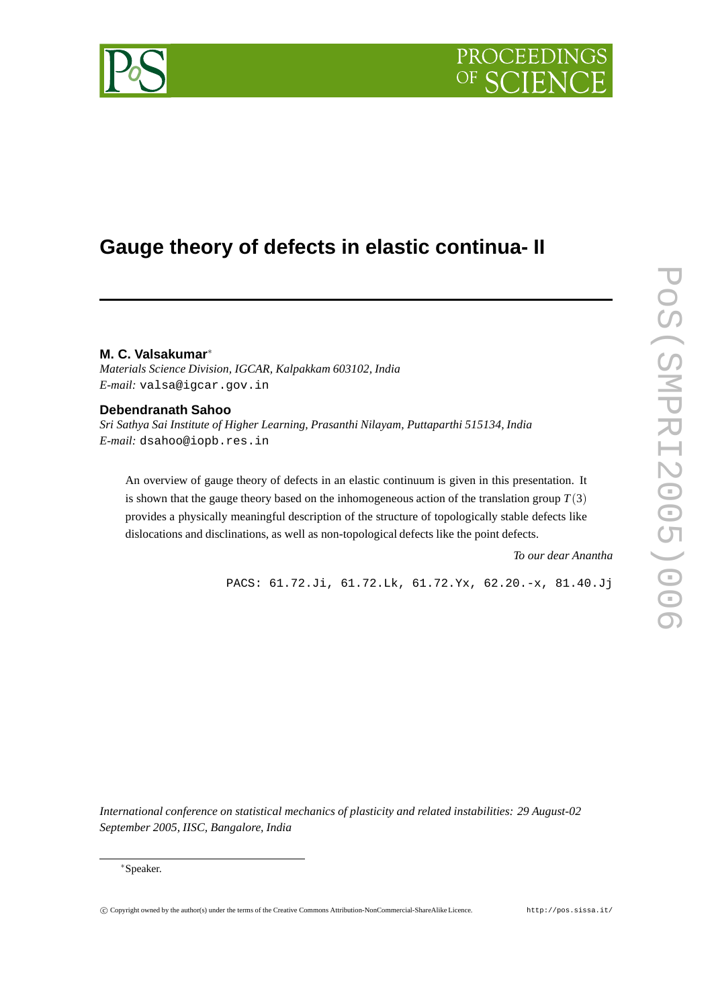# PROCEEDIN



## **Gauge theory of defects in elastic continua- II**

**M. C. Valsakumar**∗

*Materials Science Division, IGCAR, Kalpakkam 603102, India E-mail:* valsa@igcar.gov.in

### **Debendranath Sahoo**

*Sri Sathya Sai Institute of Higher Learning, Prasanthi Nilayam, Puttaparthi 515134, India E-mail:* dsahoo@iopb.res.in

An overview of gauge theory of defects in an elastic continuum is given in this presentation. It is shown that the gauge theory based on the inhomogeneous action of the translation group  $T(3)$ provides a physically meaningful description of the structure of topologically stable defects like dislocations and disclinations, as well as non-topological defects like the point defects.

*To our dear Anantha*

PACS: 61.72.Ji, 61.72.Lk, 61.72.Yx, 62.20.-x, 81.40.Jj

*International conference on statistical mechanics of plasticity and related instabilities: 29 August-02 September 2005, IISC, Bangalore, India*

<sup>∗</sup>Speaker.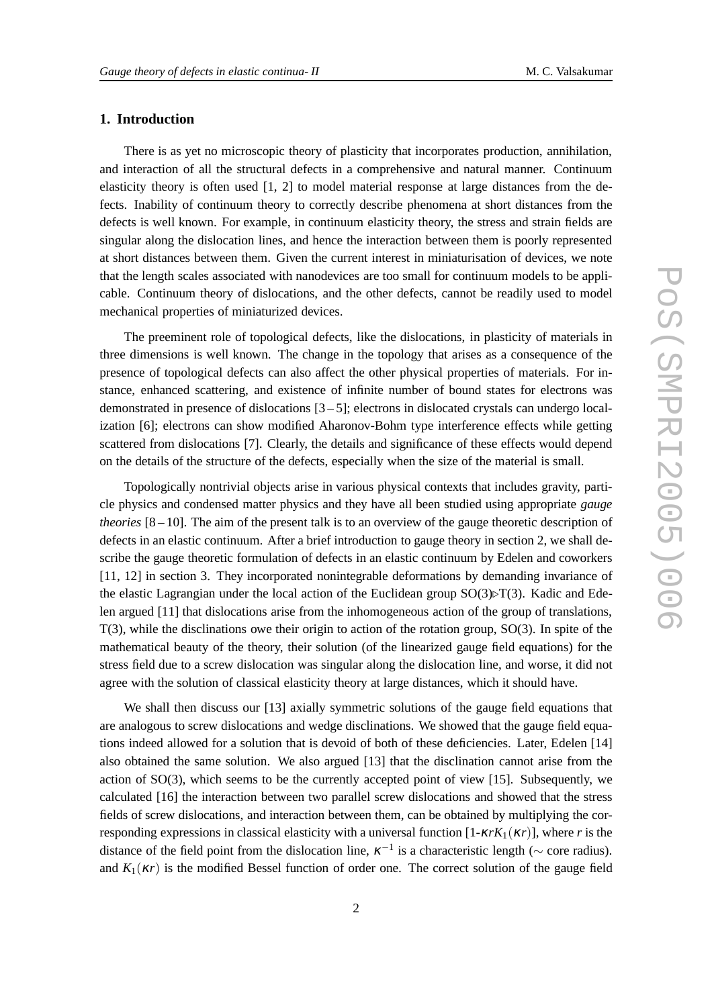#### **1. Introduction**

There is as yet no microscopic theory of plasticity that incorporates production, annihilation, and interaction of all the structural defects in a comprehensive and natural manner. Continuum elasticity theory is often used [1, 2] to model material response at large distances from the defects. Inability of continuum theory to correctly describe phenomena at short distances from the defects is well known. For example, in continuum elasticity theory, the stress and strain fields are singular along the dislocation lines, and hence the interaction between them is poorly represented at short distances between them. Given the current interest in miniaturisation of devices, we note that the length scales associated with nanodevices are too small for continuum models to be applicable. Continuum theory of dislocations, and the other defects, cannot be readily used to model mechanical properties of miniaturized devices.

The preeminent role of topological defects, like the dislocations, in plasticity of materials in three dimensions is well known. The change in the topology that arises as a consequence of the presence of topological defects can also affect the other physical properties of materials. For instance, enhanced scattering, and existence of infinite number of bound states for electrons was demonstrated in presence of dislocations  $[3 - 5]$ ; electrons in dislocated crystals can undergo localization [6]; electrons can show modified Aharonov-Bohm type interference effects while getting scattered from dislocations [7]. Clearly, the details and significance of these effects would depend on the details of the structure of the defects, especially when the size of the material is small.

Topologically nontrivial objects arise in various physical contexts that includes gravity, particle physics and condensed matter physics and they have all been studied using appropriate *gauge theories* [8 – 10]. The aim of the present talk is to an overview of the gauge theoretic description of defects in an elastic continuum. After a brief introduction to gauge theory in section 2, we shall describe the gauge theoretic formulation of defects in an elastic continuum by Edelen and coworkers [11, 12] in section 3. They incorporated nonintegrable deformations by demanding invariance of the elastic Lagrangian under the local action of the Euclidean group  $SO(3) \triangleright T(3)$ . Kadic and Edelen argued [11] that dislocations arise from the inhomogeneous action of the group of translations, T(3), while the disclinations owe their origin to action of the rotation group, SO(3). In spite of the mathematical beauty of the theory, their solution (of the linearized gauge field equations) for the stress field due to a screw dislocation was singular along the dislocation line, and worse, it did not agree with the solution of classical elasticity theory at large distances, which it should have.

We shall then discuss our [13] axially symmetric solutions of the gauge field equations that are analogous to screw dislocations and wedge disclinations. We showed that the gauge field equations indeed allowed for a solution that is devoid of both of these deficiencies. Later, Edelen [14] also obtained the same solution. We also argued [13] that the disclination cannot arise from the action of SO(3), which seems to be the currently accepted point of view [15]. Subsequently, we calculated [16] the interaction between two parallel screw dislocations and showed that the stress fields of screw dislocations, and interaction between them, can be obtained by multiplying the corresponding expressions in classical elasticity with a universal function [1-κ*rK*1(κ*r*)], where *r* is the distance of the field point from the dislocation line,  $\kappa^{-1}$  is a characteristic length ( $\sim$  core radius). and  $K_1(\kappa r)$  is the modified Bessel function of order one. The correct solution of the gauge field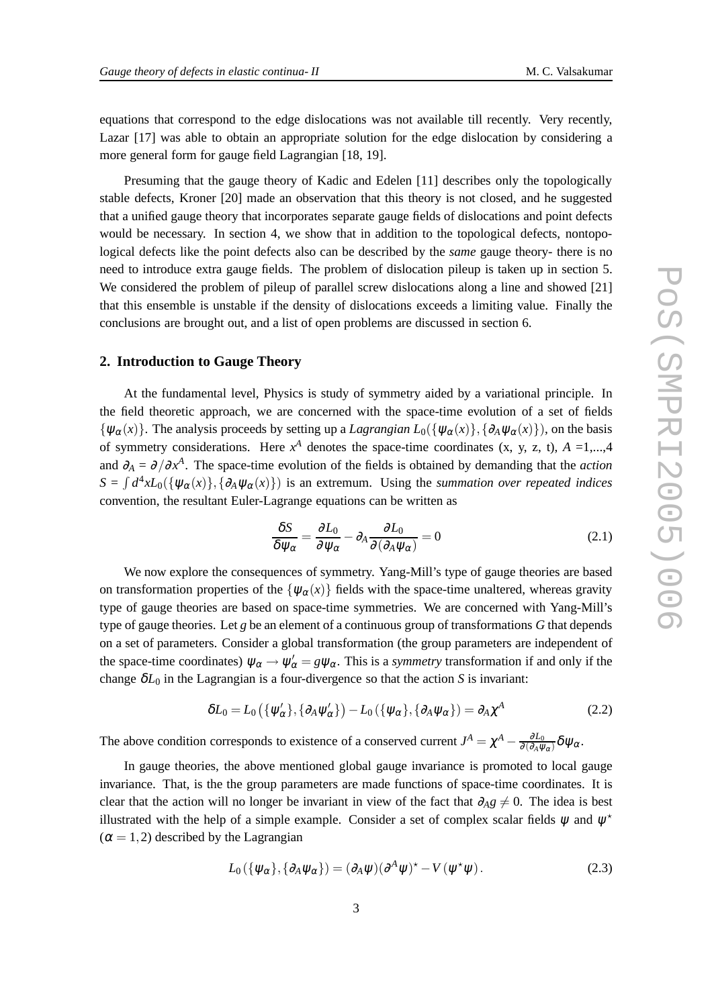equations that correspond to the edge dislocations was not available till recently. Very recently, Lazar [17] was able to obtain an appropriate solution for the edge dislocation by considering a more general form for gauge field Lagrangian [18, 19].

Presuming that the gauge theory of Kadic and Edelen [11] describes only the topologically stable defects, Kroner [20] made an observation that this theory is not closed, and he suggested that a unified gauge theory that incorporates separate gauge fields of dislocations and point defects would be necessary. In section 4, we show that in addition to the topological defects, nontopological defects like the point defects also can be described by the *same* gauge theory- there is no need to introduce extra gauge fields. The problem of dislocation pileup is taken up in section 5. We considered the problem of pileup of parallel screw dislocations along a line and showed [21] that this ensemble is unstable if the density of dislocations exceeds a limiting value. Finally the conclusions are brought out, and a list of open problems are discussed in section 6.

#### **2. Introduction to Gauge Theory**

At the fundamental level, Physics is study of symmetry aided by a variational principle. In the field theoretic approach, we are concerned with the space-time evolution of a set of fields  ${\psi_{\alpha}(x)}$ . The analysis proceeds by setting up a *Lagrangian*  $L_0({\psi_{\alpha}(x)}, {\partial_A \psi_{\alpha}(x)})$ , on the basis of symmetry considerations. Here  $x^A$  denotes the space-time coordinates (x, y, z, t),  $A = 1,...,4$ and  $\partial_A = \partial/\partial x^A$ . The space-time evolution of the fields is obtained by demanding that the *action*  $S = \int d^4x L_0(\{\psi_\alpha(x)\}, \{\partial_A \psi_\alpha(x)\})$  is an extremum. Using the *summation over repeated indices* convention, the resultant Euler-Lagrange equations can be written as

$$
\frac{\delta S}{\delta \psi_{\alpha}} = \frac{\partial L_0}{\partial \psi_{\alpha}} - \partial_A \frac{\partial L_0}{\partial (\partial_A \psi_{\alpha})} = 0
$$
\n(2.1)

We now explore the consequences of symmetry. Yang-Mill's type of gauge theories are based on transformation properties of the  $\{\psi_{\alpha}(x)\}\$  fields with the space-time unaltered, whereas gravity type of gauge theories are based on space-time symmetries. We are concerned with Yang-Mill's type of gauge theories. Let *g* be an element of a continuous group of transformations *G* that depends on a set of parameters. Consider a global transformation (the group parameters are independent of the space-time coordinates)  $\psi_{\alpha} \to \psi'_{\alpha} = g\psi_{\alpha}$ . This is a *symmetry* transformation if and only if the change  $\delta L_0$  in the Lagrangian is a four-divergence so that the action *S* is invariant:

$$
\delta L_0 = L_0 \left( \{ \psi_\alpha' \}, \{ \partial_A \psi_\alpha' \} \right) - L_0 \left( \{ \psi_\alpha \}, \{ \partial_A \psi_\alpha \} \right) = \partial_A \chi^A \tag{2.2}
$$

The above condition corresponds to existence of a conserved current  $J^A = \chi^A - \frac{\partial L_0}{\partial (\partial_A \psi)^A}$  $\frac{\partial L_0}{\partial (\partial_A\psi_\alpha)}\delta\psi_\alpha.$ 

In gauge theories, the above mentioned global gauge invariance is promoted to local gauge invariance. That, is the the group parameters are made functions of space-time coordinates. It is clear that the action will no longer be invariant in view of the fact that  $\partial_A g \neq 0$ . The idea is best illustrated with the help of a simple example. Consider a set of complex scalar fields  $\psi$  and  $\psi^*$  $(\alpha = 1, 2)$  described by the Lagrangian

$$
L_0(\{\psi_\alpha\}, \{\partial_A \psi_\alpha\}) = (\partial_A \psi)(\partial^A \psi)^\star - V(\psi^\star \psi). \tag{2.3}
$$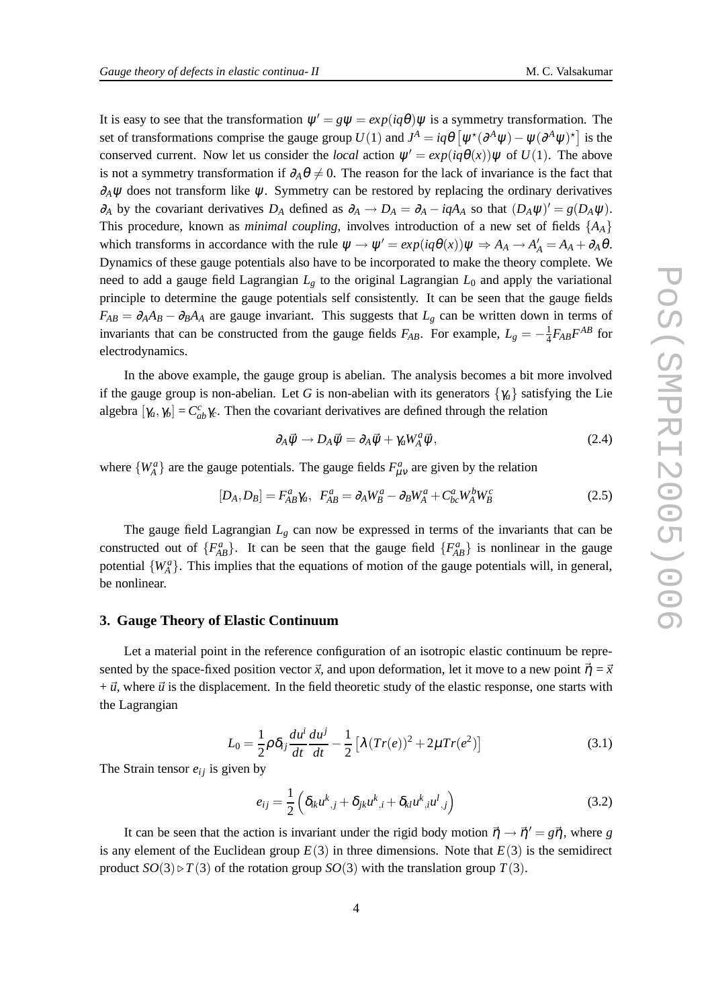It is easy to see that the transformation  $\psi' = g\psi = exp(iq\theta)\psi$  is a symmetry transformation. The set of transformations comprise the gauge group  $U(1)$  and  $J^A = iq\theta \left[ \psi^*(\partial^A \psi) - \psi(\partial^A \psi)^* \right]$  is the conserved current. Now let us consider the *local* action  $\psi' = exp(iq\theta(x))\psi$  of  $U(1)$ . The above is not a symmetry transformation if  $\partial_A \theta \neq 0$ . The reason for the lack of invariance is the fact that  $∂<sub>A</sub>ψ$  does not transform like  $ψ$ . Symmetry can be restored by replacing the ordinary derivatives *∂*<sub>*A*</sub> by the covariant derivatives *D<sub>A</sub>* defined as  $\partial_A \to D_A = \partial_A - iqA_A$  so that  $(D_A \psi)' = g(D_A \psi)$ . This procedure, known as *minimal coupling*, involves introduction of a new set of fields {*AA*} which transforms in accordance with the rule  $\psi \to \psi' = exp(iq\theta(x))\psi \Rightarrow A_A \to A'_A = A_A + \partial_A \theta$ . Dynamics of these gauge potentials also have to be incorporated to make the theory complete. We need to add a gauge field Lagrangian *L<sup>g</sup>* to the original Lagrangian *L*<sup>0</sup> and apply the variational principle to determine the gauge potentials self consistently. It can be seen that the gauge fields  $F_{AB} = \partial_A A_B - \partial_B A_A$  are gauge invariant. This suggests that  $L_g$  can be written down in terms of invariants that can be constructed from the gauge fields  $F_{AB}$ . For example,  $L_g = -\frac{1}{4}F_{AB}F^{AB}$  for electrodynamics.

In the above example, the gauge group is abelian. The analysis becomes a bit more involved if the gauge group is non-abelian. Let *G* is non-abelian with its generators  $\{\gamma_a\}$  satisfying the Lie algebra  $[\gamma_a, \gamma_b] = C_{ab}^c \gamma_c$ . Then the covariant derivatives are defined through the relation

$$
\partial_A \vec{\psi} \to D_A \vec{\psi} = \partial_A \vec{\psi} + \gamma_a W_A^a \vec{\psi}, \qquad (2.4)
$$

where  $\{W_A^a\}$  are the gauge potentials. The gauge fields  $F_{\mu\nu}^a$  are given by the relation

$$
[D_A, D_B] = F_{AB}^a \gamma_a, \ \ F_{AB}^a = \partial_A W_B^a - \partial_B W_A^a + C_{bc}^a W_A^b W_B^c \tag{2.5}
$$

The gauge field Lagrangian  $L_g$  can now be expressed in terms of the invariants that can be constructed out of  ${F_{AB}^a}$ . It can be seen that the gauge field  ${F_{AB}^a}$  is nonlinear in the gauge potential  $\{W_A^a\}$ . This implies that the equations of motion of the gauge potentials will, in general, be nonlinear.

#### **3. Gauge Theory of Elastic Continuum**

Let a material point in the reference configuration of an isotropic elastic continuum be represented by the space-fixed position vector  $\vec{x}$ , and upon deformation, let it move to a new point  $\vec{\eta} = \vec{x}$  $+ \vec{u}$ , where  $\vec{u}$  is the displacement. In the field theoretic study of the elastic response, one starts with the Lagrangian

$$
L_0 = \frac{1}{2} \rho \delta_{ij} \frac{du^i}{dt} \frac{du^j}{dt} - \frac{1}{2} \left[ \lambda (Tr(e))^2 + 2\mu Tr(e^2) \right]
$$
 (3.1)

The Strain tensor  $e_{ij}$  is given by

$$
e_{ij} = \frac{1}{2} \left( \delta_{ik} u^k_{\ \ ,j} + \delta_{jk} u^k_{\ \ ,i} + \delta_{kl} u^k_{\ \ ,i} u^l_{\ \ ,j} \right) \tag{3.2}
$$

It can be seen that the action is invariant under the rigid body motion  $\vec{\eta} \rightarrow \vec{\eta}' = g\vec{\eta}$ , where *g* is any element of the Euclidean group  $E(3)$  in three dimensions. Note that  $E(3)$  is the semidirect product  $SO(3) \triangleright T(3)$  of the rotation group  $SO(3)$  with the translation group  $T(3)$ .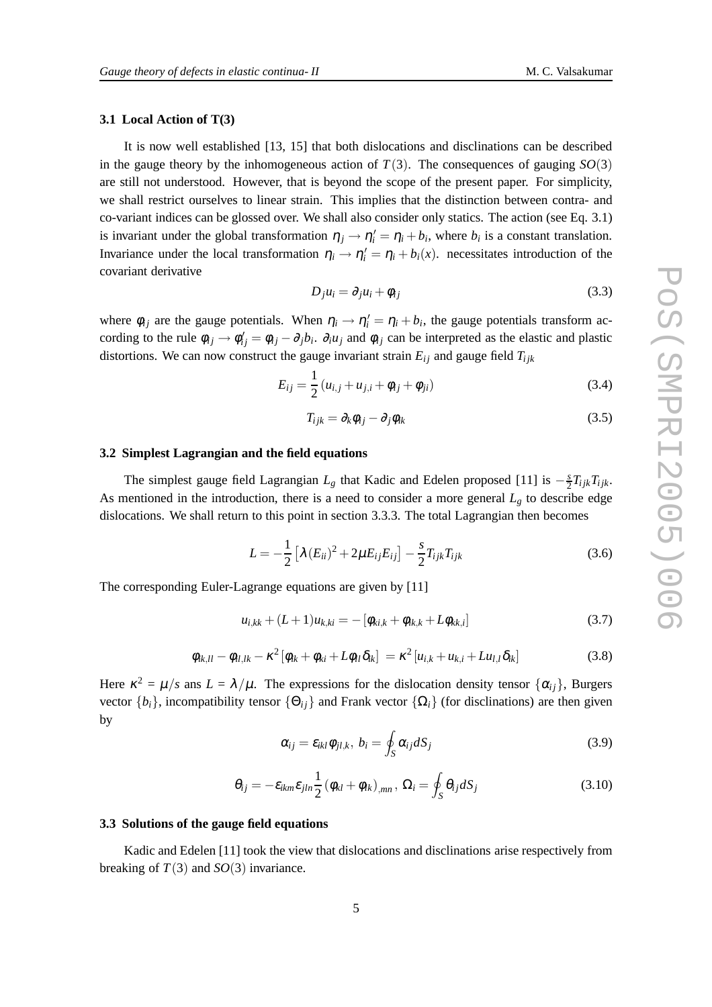#### **3.1 Local Action of T(3)**

It is now well established [13, 15] that both dislocations and disclinations can be described in the gauge theory by the inhomogeneous action of  $T(3)$ . The consequences of gauging  $SO(3)$ are still not understood. However, that is beyond the scope of the present paper. For simplicity, we shall restrict ourselves to linear strain. This implies that the distinction between contra- and co-variant indices can be glossed over. We shall also consider only statics. The action (see Eq. 3.1) is invariant under the global transformation  $\eta_j \to \eta'_i = \eta_i + b_i$ , where  $b_i$  is a constant translation. Invariance under the local transformation  $\eta_i \to \eta'_i = \eta_i + b_i(x)$ . necessitates introduction of the covariant derivative

$$
D_j u_i = \partial_j u_i + \phi_{ij} \tag{3.3}
$$

where  $\phi_{ij}$  are the gauge potentials. When  $\eta_i \to \eta'_i = \eta_i + b_i$ , the gauge potentials transform according to the rule  $\phi_{ij} \to \phi'_{ij} = \phi_{ij} - \partial_j b_i$ .  $\partial_i u_j$  and  $\phi_{ij}$  can be interpreted as the elastic and plastic distortions. We can now construct the gauge invariant strain  $E_{ij}$  and gauge field  $T_{ijk}$ 

$$
E_{ij} = \frac{1}{2} (u_{i,j} + u_{j,i} + \phi_{ij} + \phi_{ji})
$$
 (3.4)

$$
T_{ijk} = \partial_k \phi_{ij} - \partial_j \phi_{ik} \tag{3.5}
$$

#### **3.2 Simplest Lagrangian and the field equations**

The simplest gauge field Lagrangian  $L_g$  that Kadic and Edelen proposed [11] is  $-\frac{s}{2}$  $\frac{s}{2}T_{ijk}T_{ijk}$ . As mentioned in the introduction, there is a need to consider a more general  $L_g$  to describe edge dislocations. We shall return to this point in section 3.3.3. The total Lagrangian then becomes

$$
L = -\frac{1}{2} \left[ \lambda (E_{ii})^2 + 2\mu E_{ij} E_{ij} \right] - \frac{s}{2} T_{ijk} T_{ijk}
$$
 (3.6)

The corresponding Euler-Lagrange equations are given by [11]

$$
u_{i,kk} + (L+1)u_{k,ki} = -[\phi_{ki,k} + \phi_{ik,k} + L\phi_{kk,i}]
$$
\n(3.7)

$$
\phi_{ik,ll} - \phi_{il,lk} - \kappa^2 \left[ \phi_{ik} + \phi_{ki} + L\phi_{ll} \delta_{ik} \right] = \kappa^2 \left[ u_{i,k} + u_{k,i} + L u_{l,l} \delta_{ik} \right]
$$
(3.8)

Here  $\kappa^2 = \mu/s$  ans  $L = \lambda/\mu$ . The expressions for the dislocation density tensor  $\{\alpha_{ij}\}\$ , Burgers vector  $\{b_i\}$ , incompatibility tensor  $\{\Theta_{ij}\}$  and Frank vector  $\{\Omega_i\}$  (for disclinations) are then given by

$$
\alpha_{ij} = \varepsilon_{ikl} \phi_{jl,k}, \ b_i = \oint_S \alpha_{ij} dS_j \tag{3.9}
$$

$$
\theta_{ij} = -\varepsilon_{ikm}\varepsilon_{jln}\frac{1}{2}(\phi_{kl} + \phi_{lk})_{,mn}, \ \Omega_i = \oint_S \theta_{ij}dS_j \tag{3.10}
$$

#### **3.3 Solutions of the gauge field equations**

Kadic and Edelen [11] took the view that dislocations and disclinations arise respectively from breaking of  $T(3)$  and  $SO(3)$  invariance.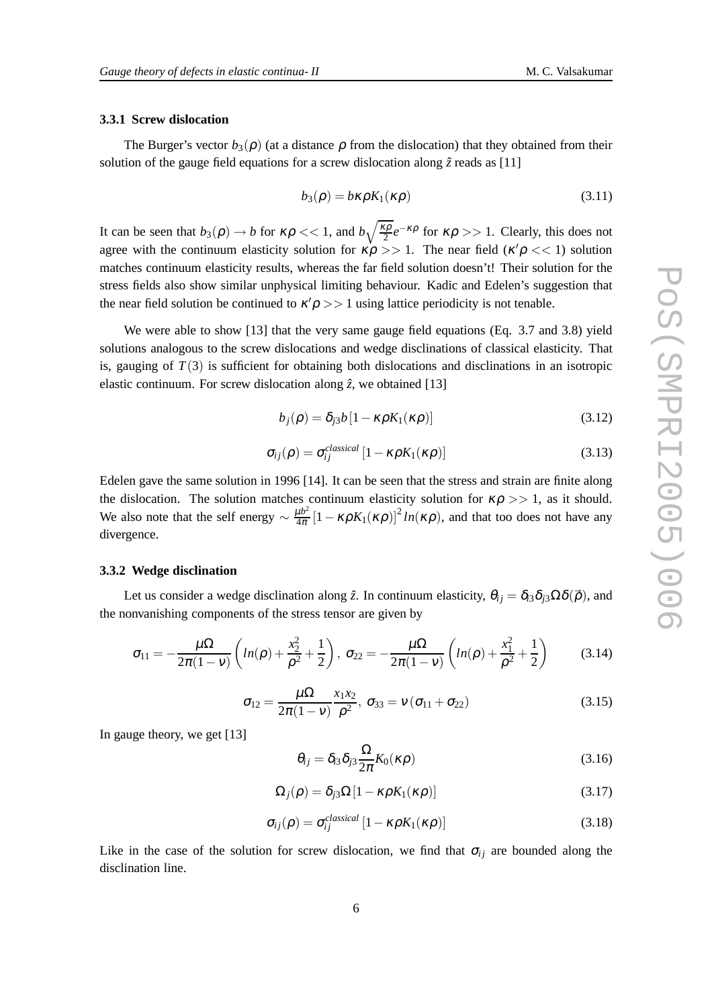#### **3.3.1 Screw dislocation**

The Burger's vector  $b_3(\rho)$  (at a distance  $\rho$  from the dislocation) that they obtained from their solution of the gauge field equations for a screw dislocation along  $\hat{z}$  reads as [11]

$$
b_3(\rho) = b\kappa\rho K_1(\kappa\rho) \tag{3.11}
$$

It can be seen that  $b_3(\rho) \to b$  for  $\kappa \rho \ll 1$ , and  $b\sqrt{\frac{\kappa \rho}{2}}e^{-\kappa \rho}$  for  $\kappa \rho >> 1$ . Clearly, this does not agree with the continuum elasticity solution for  $\kappa \rho >> 1$ . The near field ( $\kappa' \rho << 1$ ) solution matches continuum elasticity results, whereas the far field solution doesn't! Their solution for the stress fields also show similar unphysical limiting behaviour. Kadic and Edelen's suggestion that the near field solution be continued to  $\kappa' \rho >> 1$  using lattice periodicity is not tenable.

We were able to show [13] that the very same gauge field equations (Eq. 3.7 and 3.8) yield solutions analogous to the screw dislocations and wedge disclinations of classical elasticity. That is, gauging of  $T(3)$  is sufficient for obtaining both dislocations and disclinations in an isotropic elastic continuum. For screw dislocation along  $\hat{z}$ , we obtained [13]

$$
b_j(\rho) = \delta_{j3} b \left[ 1 - \kappa \rho K_1(\kappa \rho) \right] \tag{3.12}
$$

$$
\sigma_{ij}(\rho) = \sigma_{ij}^{classical} \left[ 1 - \kappa \rho K_1(\kappa \rho) \right]
$$
\n(3.13)

Edelen gave the same solution in 1996 [14]. It can be seen that the stress and strain are finite along the dislocation. The solution matches continuum elasticity solution for  $\kappa \rho >> 1$ , as it should. We also note that the self energy  $\sim \frac{\mu b^2}{4\pi}$  $\frac{4ab^2}{4\pi}\left[1 - \kappa \rho K_1(\kappa \rho)\right]^2 ln(\kappa \rho)$ , and that too does not have any divergence.

#### **3.3.2 Wedge disclination**

Let us consider a wedge disclination along  $\hat{z}$ . In continuum elasticity,  $\theta_{ij} = \delta_{i3}\delta_{i3}\Omega\delta(\vec{\rho})$ , and the nonvanishing components of the stress tensor are given by

$$
\sigma_{11} = -\frac{\mu\Omega}{2\pi(1-\nu)}\left(ln(\rho) + \frac{x_2^2}{\rho^2} + \frac{1}{2}\right), \ \sigma_{22} = -\frac{\mu\Omega}{2\pi(1-\nu)}\left(ln(\rho) + \frac{x_1^2}{\rho^2} + \frac{1}{2}\right) \tag{3.14}
$$

$$
\sigma_{12} = \frac{\mu \Omega}{2\pi (1 - v)} \frac{x_1 x_2}{\rho^2}, \ \sigma_{33} = v (\sigma_{11} + \sigma_{22})
$$
\n(3.15)

In gauge theory, we get [13]

$$
\theta_{ij} = \delta_{i3} \delta_{j3} \frac{\Omega}{2\pi} K_0(\kappa \rho) \tag{3.16}
$$

$$
\Omega_j(\rho) = \delta_{j3} \Omega \left[ 1 - \kappa \rho K_1(\kappa \rho) \right] \tag{3.17}
$$

$$
\sigma_{ij}(\rho) = \sigma_{ij}^{classical} \left[ 1 - \kappa \rho K_1(\kappa \rho) \right]
$$
\n(3.18)

Like in the case of the solution for screw dislocation, we find that  $\sigma_{ij}$  are bounded along the disclination line.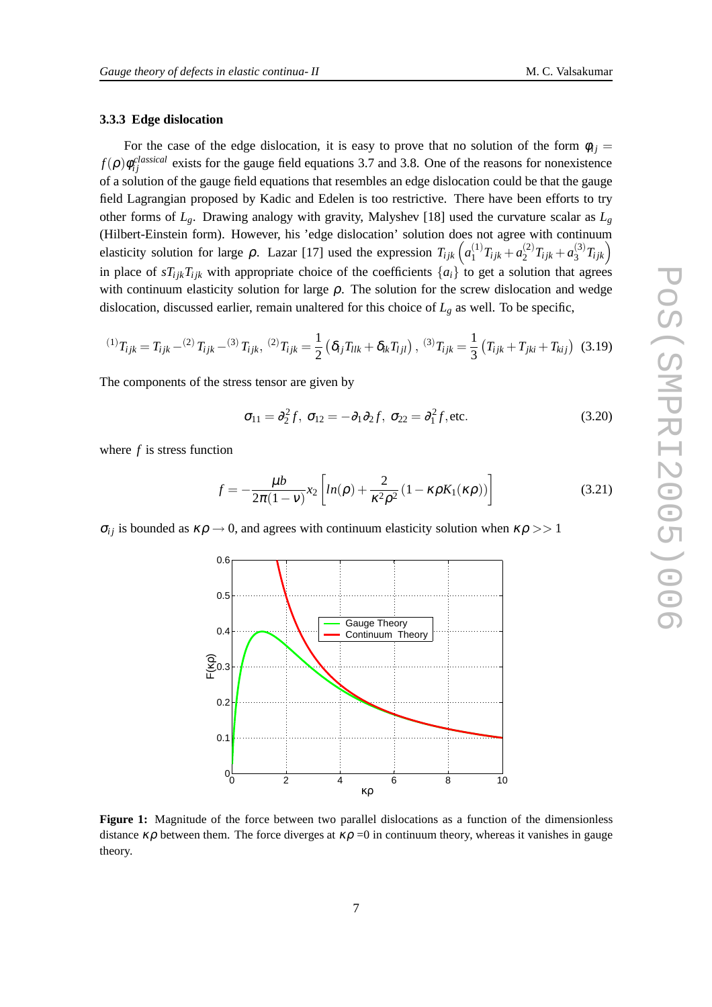#### **3.3.3 Edge dislocation**

For the case of the edge dislocation, it is easy to prove that no solution of the form  $\phi_{ij} =$  $f(\rho) \phi_{ij}^{classical}$  exists for the gauge field equations 3.7 and 3.8. One of the reasons for nonexistence of a solution of the gauge field equations that resembles an edge dislocation could be that the gauge field Lagrangian proposed by Kadic and Edelen is too restrictive. There have been efforts to try other forms of *Lg*. Drawing analogy with gravity, Malyshev [18] used the curvature scalar as *L<sup>g</sup>* (Hilbert-Einstein form). However, his 'edge dislocation' solution does not agree with continuum elasticity solution for large  $\rho$ . Lazar [17] used the expression  $T_{ijk}$   $\left( a_1^{(1)} \right)$  $\binom{1}{1}T_{ijk} + a_2^{(2)}$  $a_2^{(2)}T_{ijk} + a_3^{(3)}$  $\binom{(3)}{3}T_{ijk}$ in place of  $sT_{ijk}T_{ijk}$  with appropriate choice of the coefficients  $\{a_i\}$  to get a solution that agrees with continuum elasticity solution for large  $\rho$ . The solution for the screw dislocation and wedge dislocation, discussed earlier, remain unaltered for this choice of  $L_g$  as well. To be specific,

$$
^{(1)}T_{ijk} = T_{ijk} - ^{(2)}T_{ijk} - ^{(3)}T_{ijk}, \, ^{(2)}T_{ijk} = \frac{1}{2} \left( \delta_{ij} T_{llk} + \delta_{ik} T_{ljl} \right), \, ^{(3)}T_{ijk} = \frac{1}{3} \left( T_{ijk} + T_{jki} + T_{kij} \right) \, (3.19)
$$

The components of the stress tensor are given by

$$
\sigma_{11} = \partial_2^2 f, \ \sigma_{12} = -\partial_1 \partial_2 f, \ \sigma_{22} = \partial_1^2 f, \text{etc.}
$$
 (3.20)

where *f* is stress function

$$
f = -\frac{\mu b}{2\pi(1-\nu)} x_2 \left[ ln(\rho) + \frac{2}{\kappa^2 \rho^2} (1 - \kappa \rho K_1(\kappa \rho)) \right]
$$
(3.21)

 $\sigma_{ij}$  is bounded as  $\kappa \rho \rightarrow 0$ , and agrees with continuum elasticity solution when  $\kappa \rho >> 1$ 



**Figure 1:** Magnitude of the force between two parallel dislocations as a function of the dimensionless distance  $\kappa \rho$  between them. The force diverges at  $\kappa \rho = 0$  in continuum theory, whereas it vanishes in gauge theory.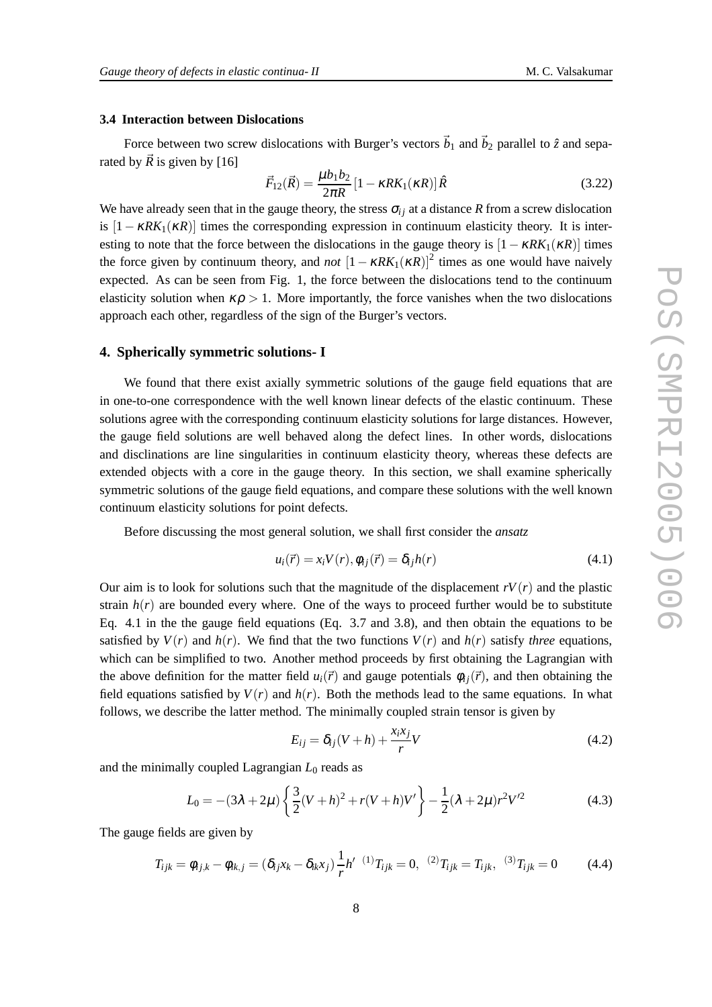#### **3.4 Interaction between Dislocations**

Force between two screw dislocations with Burger's vectors  $\vec{b}_1$  and  $\vec{b}_2$  parallel to  $\hat{z}$  and separated by  $\vec{R}$  is given by [16]

$$
\vec{F}_{12}(\vec{R}) = \frac{\mu b_1 b_2}{2\pi R} [1 - \kappa R K_1(\kappa R)] \hat{R}
$$
 (3.22)

We have already seen that in the gauge theory, the stress  $\sigma_i$  at a distance *R* from a screw dislocation is  $[1 - \kappa R K_1(\kappa R)]$  times the corresponding expression in continuum elasticity theory. It is interesting to note that the force between the dislocations in the gauge theory is  $[1 - \kappa R K_1(\kappa R)]$  times the force given by continuum theory, and *not*  $[1 - \kappa R K_1(\kappa R)]^2$  times as one would have naively expected. As can be seen from Fig. 1, the force between the dislocations tend to the continuum elasticity solution when  $\kappa \rho > 1$ . More importantly, the force vanishes when the two dislocations approach each other, regardless of the sign of the Burger's vectors.

#### **4. Spherically symmetric solutions- I**

We found that there exist axially symmetric solutions of the gauge field equations that are in one-to-one correspondence with the well known linear defects of the elastic continuum. These solutions agree with the corresponding continuum elasticity solutions for large distances. However, the gauge field solutions are well behaved along the defect lines. In other words, dislocations and disclinations are line singularities in continuum elasticity theory, whereas these defects are extended objects with a core in the gauge theory. In this section, we shall examine spherically symmetric solutions of the gauge field equations, and compare these solutions with the well known continuum elasticity solutions for point defects.

Before discussing the most general solution, we shall first consider the *ansatz*

$$
u_i(\vec{r}) = x_i V(r), \phi_{ij}(\vec{r}) = \delta_{ij} h(r)
$$
\n(4.1)

Our aim is to look for solutions such that the magnitude of the displacement  $rV(r)$  and the plastic strain  $h(r)$  are bounded every where. One of the ways to proceed further would be to substitute Eq. 4.1 in the the gauge field equations (Eq. 3.7 and 3.8), and then obtain the equations to be satisfied by  $V(r)$  and  $h(r)$ . We find that the two functions  $V(r)$  and  $h(r)$  satisfy *three* equations, which can be simplified to two. Another method proceeds by first obtaining the Lagrangian with the above definition for the matter field  $u_i(\vec{r})$  and gauge potentials  $\phi_i(\vec{r})$ , and then obtaining the field equations satisfied by  $V(r)$  and  $h(r)$ . Both the methods lead to the same equations. In what follows, we describe the latter method. The minimally coupled strain tensor is given by

$$
E_{ij} = \delta_{ij}(V+h) + \frac{x_i x_j}{r}V
$$
\n(4.2)

and the minimally coupled Lagrangian  $L_0$  reads as

$$
L_0 = -(3\lambda + 2\mu) \left\{ \frac{3}{2} (V+h)^2 + r(V+h)V' \right\} - \frac{1}{2} (\lambda + 2\mu) r^2 V'^2 \tag{4.3}
$$

The gauge fields are given by

$$
T_{ijk} = \phi_{ij,k} - \phi_{ik,j} = (\delta_{ij}x_k - \delta_{ik}x_j) \frac{1}{r} h'^{- (1)} T_{ijk} = 0, \quad {}^{(2)}T_{ijk} = T_{ijk}, \quad {}^{(3)}T_{ijk} = 0 \tag{4.4}
$$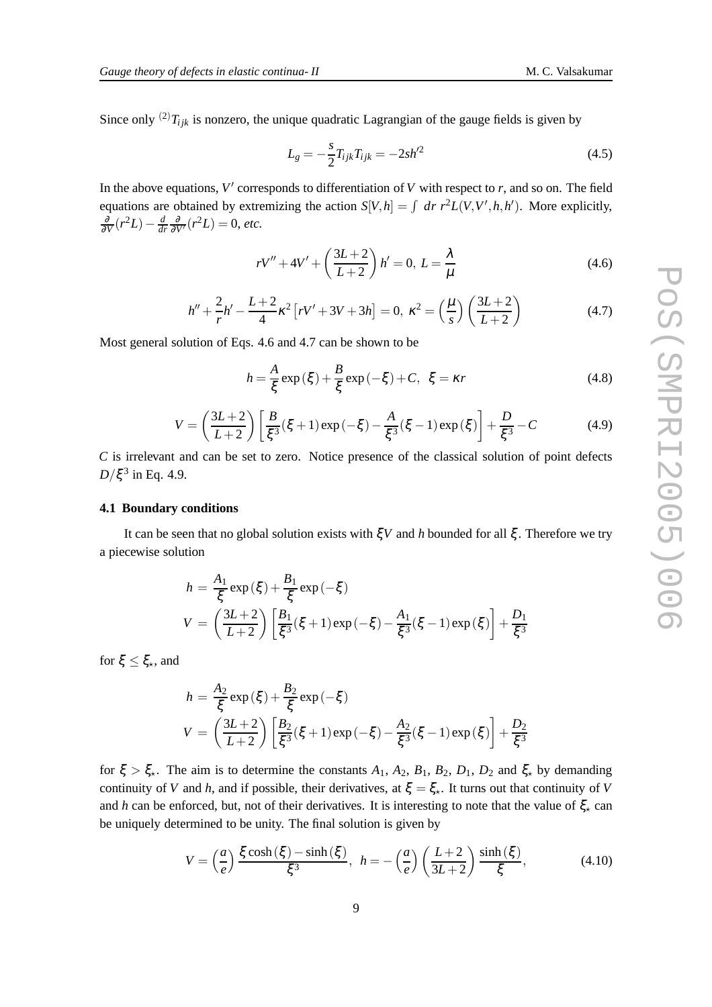Since only <sup>(2)</sup> $T_{ijk}$  is nonzero, the unique quadratic Lagrangian of the gauge fields is given by

$$
L_g = -\frac{s}{2} T_{ijk} T_{ijk} = -2sh^2 \tag{4.5}
$$

In the above equations, V' corresponds to differentiation of *V* with respect to *r*, and so on. The field equations are obtained by extremizing the action  $S[V, h] = \int dr r^2 L(V, V', h, h')$ . More explicitly,  $\frac{\partial}{\partial V}(r^2L) - \frac{d}{di}$  $\frac{d}{dr}\frac{\partial}{\partial V'}(r^2L) = 0$ , *etc.* 

$$
rV'' + 4V' + \left(\frac{3L+2}{L+2}\right)h' = 0, L = \frac{\lambda}{\mu}
$$
\n(4.6)

$$
h'' + \frac{2}{r}h' - \frac{L+2}{4}\kappa^2 \left[rV' + 3V + 3h\right] = 0, \ \kappa^2 = \left(\frac{\mu}{s}\right)\left(\frac{3L+2}{L+2}\right) \tag{4.7}
$$

Most general solution of Eqs. 4.6 and 4.7 can be shown to be

$$
h = \frac{A}{\xi} \exp(\xi) + \frac{B}{\xi} \exp(-\xi) + C, \ \xi = \kappa r \tag{4.8}
$$

$$
V = \left(\frac{3L+2}{L+2}\right) \left[\frac{B}{\xi^3}(\xi+1) \exp(-\xi) - \frac{A}{\xi^3}(\xi-1) \exp(\xi)\right] + \frac{D}{\xi^3} - C \tag{4.9}
$$

*C* is irrelevant and can be set to zero. Notice presence of the classical solution of point defects  $D/\xi^3$  in Eq. 4.9.

#### **4.1 Boundary conditions**

It can be seen that no global solution exists with ξ*V* and *h* bounded for all ξ . Therefore we try a piecewise solution

$$
h = \frac{A_1}{\xi} \exp(\xi) + \frac{B_1}{\xi} \exp(-\xi)
$$
  

$$
V = \left(\frac{3L+2}{L+2}\right) \left[\frac{B_1}{\xi^3}(\xi+1) \exp(-\xi) - \frac{A_1}{\xi^3}(\xi-1) \exp(\xi)\right] + \frac{D_1}{\xi^3}
$$

for  $\xi \leq \xi_{\star}$ , and

$$
h = \frac{A_2}{\xi} \exp(\xi) + \frac{B_2}{\xi} \exp(-\xi)
$$
  

$$
V = \left(\frac{3L+2}{L+2}\right) \left[\frac{B_2}{\xi^3}(\xi+1) \exp(-\xi) - \frac{A_2}{\xi^3}(\xi-1) \exp(\xi)\right] + \frac{D_2}{\xi^3}
$$

for  $\xi > \xi_{\star}$ . The aim is to determine the constants  $A_1$ ,  $A_2$ ,  $B_1$ ,  $B_2$ ,  $D_1$ ,  $D_2$  and  $\xi_{\star}$  by demanding continuity of *V* and *h*, and if possible, their derivatives, at  $\xi = \xi_{\star}$ . It turns out that continuity of *V* and *h* can be enforced, but, not of their derivatives. It is interesting to note that the value of  $\xi_{\star}$  can be uniquely determined to be unity. The final solution is given by

$$
V = \left(\frac{a}{e}\right) \frac{\xi \cosh(\xi) - \sinh(\xi)}{\xi^3}, \quad h = -\left(\frac{a}{e}\right) \left(\frac{L+2}{3L+2}\right) \frac{\sinh(\xi)}{\xi},\tag{4.10}
$$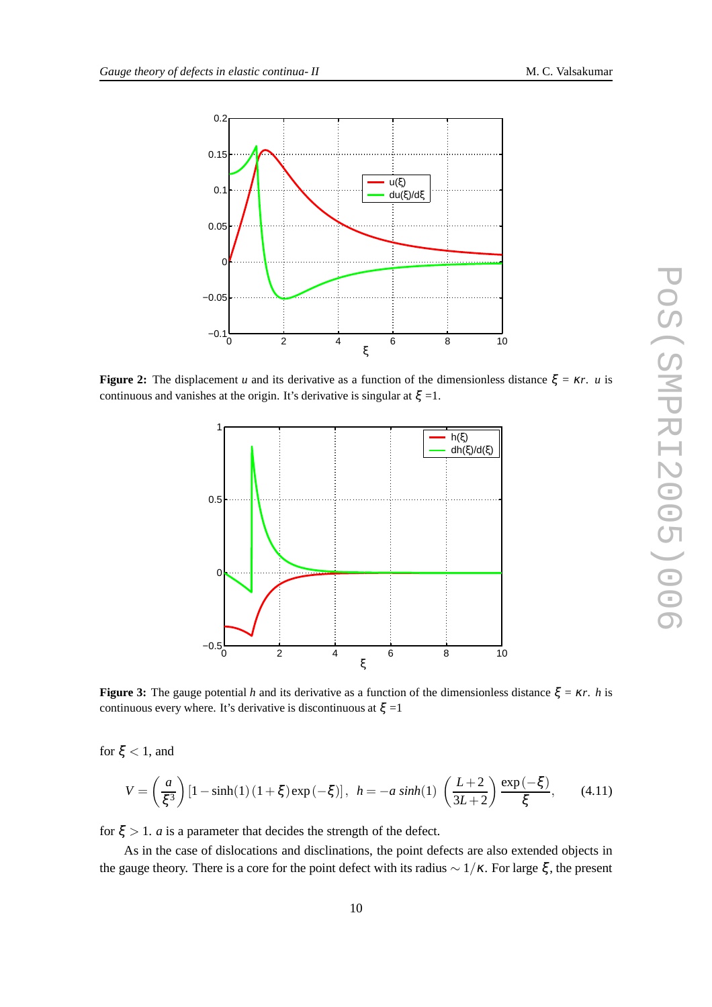

**Figure 2:** The displacement *u* and its derivative as a function of the dimensionless distance  $\xi = \kappa r$ . *u* is continuous and vanishes at the origin. It's derivative is singular at  $\xi = 1$ .



**Figure 3:** The gauge potential *h* and its derivative as a function of the dimensionless distance  $\xi = \kappa r$ . *h* is continuous every where. It's derivative is discontinuous at  $\xi = 1$ 

for  $\xi$  < 1, and

$$
V = \left(\frac{a}{\xi^3}\right) \left[1 - \sinh(1)\left(1 + \xi\right) \exp\left(-\xi\right)\right], \ \ h = -a \sinh(1) \left(\frac{L+2}{3L+2}\right) \frac{\exp\left(-\xi\right)}{\xi}, \tag{4.11}
$$

for  $\xi > 1$ . *a* is a parameter that decides the strength of the defect.

As in the case of dislocations and disclinations, the point defects are also extended objects in the gauge theory. There is a core for the point defect with its radius  $\sim 1/\kappa$ . For large  $\xi$ , the present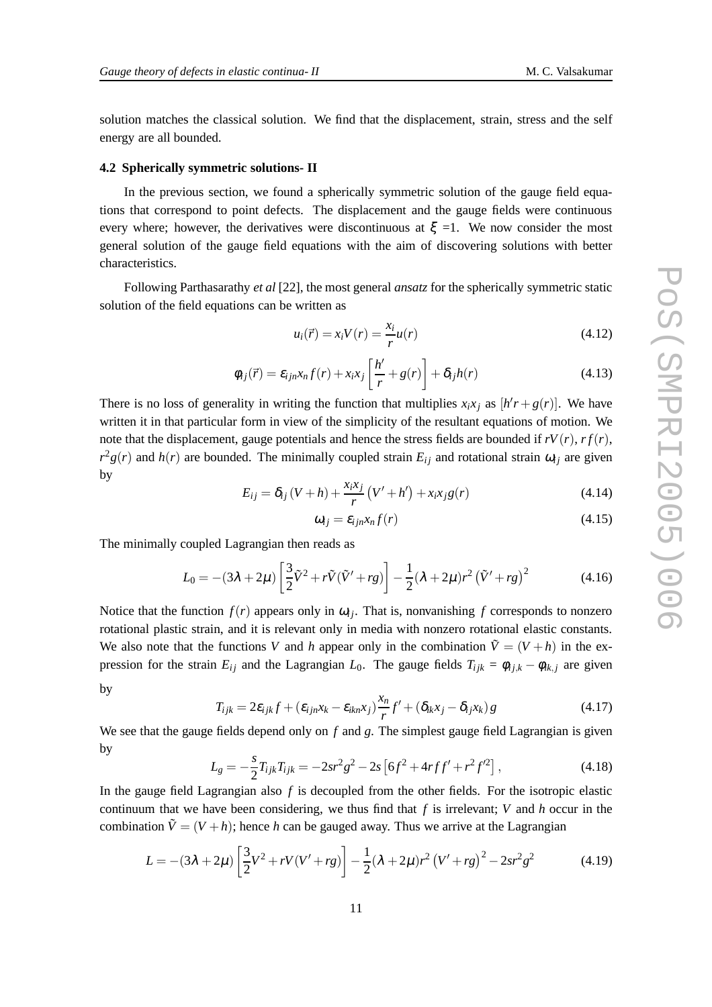solution matches the classical solution. We find that the displacement, strain, stress and the self energy are all bounded.

#### **4.2 Spherically symmetric solutions- II**

In the previous section, we found a spherically symmetric solution of the gauge field equations that correspond to point defects. The displacement and the gauge fields were continuous every where; however, the derivatives were discontinuous at  $\xi = 1$ . We now consider the most general solution of the gauge field equations with the aim of discovering solutions with better characteristics.

Following Parthasarathy *et al* [22], the most general *ansatz* for the spherically symmetric static solution of the field equations can be written as

$$
u_i(\vec{r}) = x_i V(r) = \frac{x_i}{r} u(r)
$$
\n(4.12)

$$
\phi_{ij}(\vec{r}) = \varepsilon_{ijn} x_n f(r) + x_i x_j \left[ \frac{h'}{r} + g(r) \right] + \delta_{ij} h(r) \tag{4.13}
$$

There is no loss of generality in writing the function that multiplies  $x_i x_j$  as  $[h'r + g(r)]$ . We have written it in that particular form in view of the simplicity of the resultant equations of motion. We note that the displacement, gauge potentials and hence the stress fields are bounded if  $rV(r)$ ,  $rf(r)$ ,  $r^2g(r)$  and  $h(r)$  are bounded. The minimally coupled strain  $E_{ij}$  and rotational strain  $\omega_{ij}$  are given by

$$
E_{ij} = \delta_{ij} (V + h) + \frac{x_i x_j}{r} (V' + h') + x_i x_j g(r)
$$
\n(4.14)

$$
\omega_{ij} = \varepsilon_{ijn} x_n f(r) \tag{4.15}
$$

The minimally coupled Lagrangian then reads as

$$
L_0 = -(3\lambda + 2\mu) \left[ \frac{3}{2} \tilde{V}^2 + r \tilde{V} (\tilde{V}' + rg) \right] - \frac{1}{2} (\lambda + 2\mu) r^2 (\tilde{V}' + rg)^2 \tag{4.16}
$$

Notice that the function  $f(r)$  appears only in  $\omega_{ij}$ . That is, nonvanishing f corresponds to nonzero rotational plastic strain, and it is relevant only in media with nonzero rotational elastic constants. We also note that the functions *V* and *h* appear only in the combination  $\tilde{V} = (V + h)$  in the expression for the strain  $E_{ij}$  and the Lagrangian  $L_0$ . The gauge fields  $T_{ijk} = \phi_{ij,k} - \phi_{ik,j}$  are given by

$$
T_{ijk} = 2\varepsilon_{ijk}f + (\varepsilon_{ijn}x_k - \varepsilon_{ikn}x_j)\frac{x_n}{r}f' + (\delta_{ik}x_j - \delta_{ij}x_k)g
$$
\n(4.17)

We see that the gauge fields depend only on *f* and *g*. The simplest gauge field Lagrangian is given by

$$
L_g = -\frac{s}{2} T_{ijk} T_{ijk} = -2sr^2 g^2 - 2s \left[ 6f^2 + 4rff' + r^2 f'^2 \right],
$$
\n(4.18)

In the gauge field Lagrangian also *f* is decoupled from the other fields. For the isotropic elastic continuum that we have been considering, we thus find that *f* is irrelevant; *V* and *h* occur in the combination  $\tilde{V} = (V + h)$ ; hence *h* can be gauged away. Thus we arrive at the Lagrangian

$$
L = -(3\lambda + 2\mu) \left[ \frac{3}{2} V^2 + rV(V' + rg) \right] - \frac{1}{2} (\lambda + 2\mu) r^2 (V' + rg)^2 - 2sr^2 g^2 \tag{4.19}
$$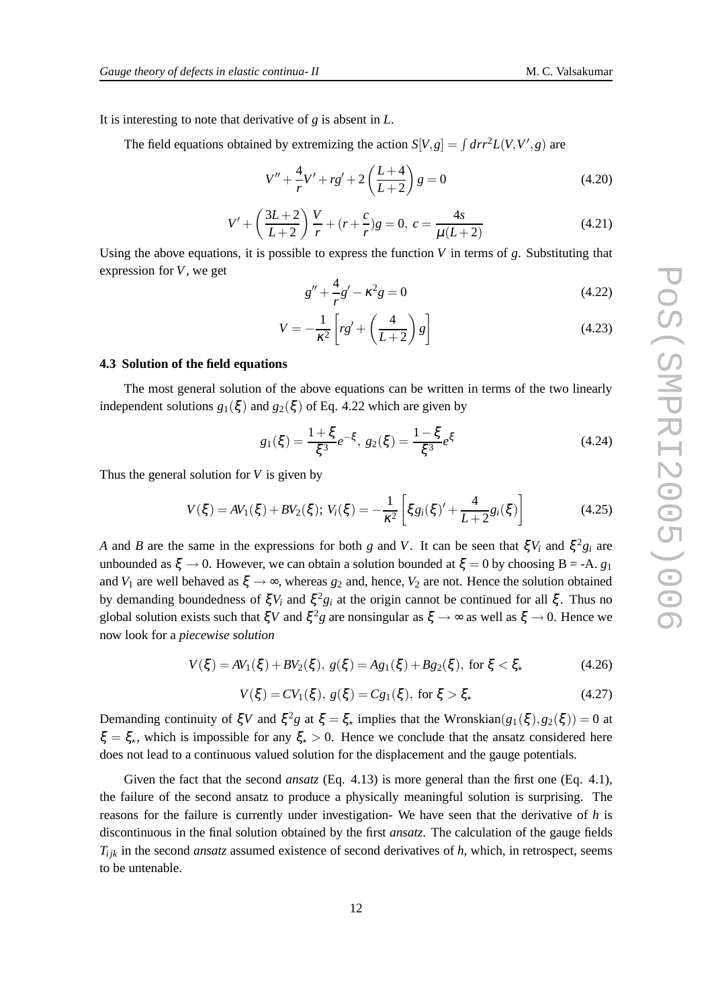It is interesting to note that derivative of *g* is absent in *L*.

The field equations obtained by extremizing the action  $S[V, g] = \int dr r^2 L(V, V', g)$  are

$$
V'' + \frac{4}{r}V' + rg' + 2\left(\frac{L+4}{L+2}\right)g = 0\tag{4.20}
$$

$$
V' + \left(\frac{3L+2}{L+2}\right)\frac{V}{r} + (r+\frac{c}{r})g = 0, \ c = \frac{4s}{\mu(L+2)}
$$
(4.21)

Using the above equations, it is possible to express the function *V* in terms of *g*. Substituting that expression for *V*, we get

$$
g'' + \frac{4}{r}g' - \kappa^2 g = 0
$$
\n(4.22)

$$
V = -\frac{1}{\kappa^2} \left[ rg' + \left(\frac{4}{L+2}\right) g\right]
$$
\n(4.23)

#### **4.3 Solution of the field equations**

The most general solution of the above equations can be written in terms of the two linearly independent solutions  $g_1(\xi)$  and  $g_2(\xi)$  of Eq. 4.22 which are given by

$$
g_1(\xi) = \frac{1+\xi}{\xi^3}e^{-\xi}, \ g_2(\xi) = \frac{1-\xi}{\xi^3}e^{\xi}
$$
 (4.24)

Thus the general solution for *V* is given by

$$
V(\xi) = AV_1(\xi) + BV_2(\xi); V_i(\xi) = -\frac{1}{\kappa^2} \left[ \xi g_i(\xi)' + \frac{4}{L+2} g_i(\xi) \right]
$$
(4.25)

*A* and *B* are the same in the expressions for both *g* and *V*. It can be seen that  $\zeta V_i$  and  $\zeta^2 g_i$  are unbounded as  $\xi \to 0$ . However, we can obtain a solution bounded at  $\xi = 0$  by choosing B = -A. *g*<sub>1</sub> and *V*<sub>1</sub> are well behaved as  $\xi \rightarrow \infty$ , whereas  $g_2$  and, hence, *V*<sub>2</sub> are not. Hence the solution obtained by demanding boundedness of  $\xi V_i$  and  $\xi^2 g_i$  at the origin cannot be continued for all  $\xi$ . Thus no global solution exists such that  $\xi V$  and  $\xi^2 g$  are nonsingular as  $\xi \to \infty$  as well as  $\xi \to 0$ . Hence we now look for a *piecewise solution*

$$
V(\xi) = AV_1(\xi) + BV_2(\xi), \ g(\xi) = Ag_1(\xi) + Bg_2(\xi), \text{ for } \xi < \xi,\tag{4.26}
$$

$$
V(\xi) = CV_1(\xi), \ g(\xi) = Cg_1(\xi), \text{ for } \xi > \xi,
$$
\n(4.27)

Demanding continuity of  $\xi V$  and  $\xi^2 g$  at  $\xi = \xi_*$  implies that the Wronskian( $g_1(\xi), g_2(\xi)$ ) = 0 at  $\xi = \xi_{\star}$ , which is impossible for any  $\xi_{\star} > 0$ . Hence we conclude that the ansatz considered here does not lead to a continuous valued solution for the displacement and the gauge potentials.

Given the fact that the second *ansatz* (Eq. 4.13) is more general than the first one (Eq. 4.1), the failure of the second ansatz to produce a physically meaningful solution is surprising. The reasons for the failure is currently under investigation- We have seen that the derivative of *h* is discontinuous in the final solution obtained by the first *ansatz*. The calculation of the gauge fields  $T_{ijk}$  in the second *ansatz* assumed existence of second derivatives of  $h$ , which, in retrospect, seems to be untenable.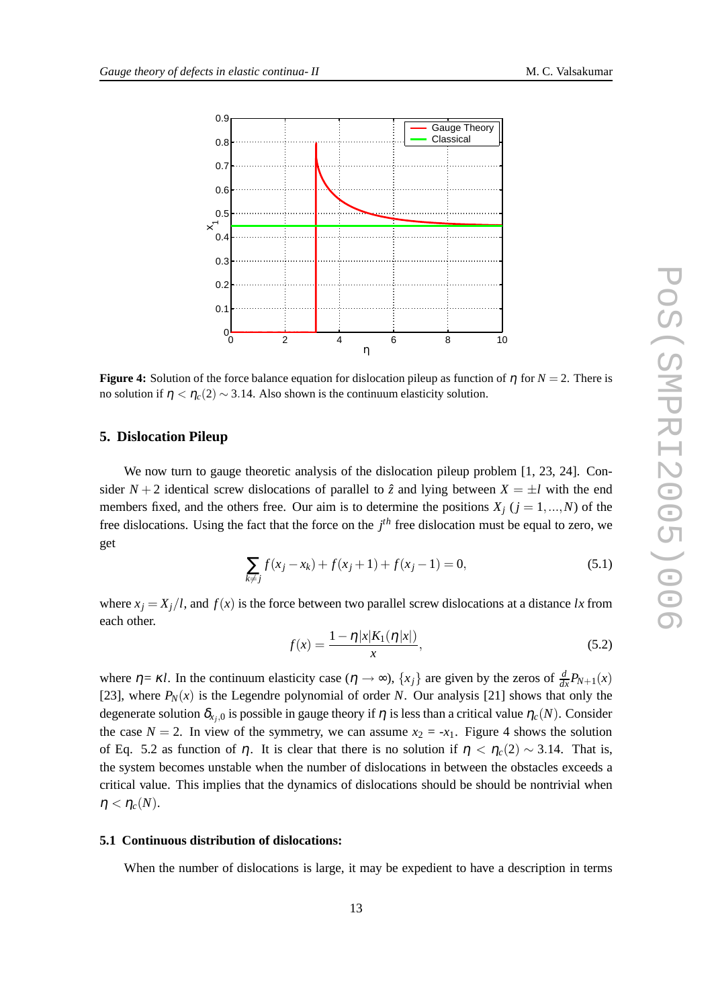

**Figure 4:** Solution of the force balance equation for dislocation pileup as function of  $\eta$  for  $N = 2$ . There is no solution if  $η < η<sub>c</sub>(2) ∼ 3.14$ . Also shown is the continuum elasticity solution.

#### **5. Dislocation Pileup**

We now turn to gauge theoretic analysis of the dislocation pileup problem [1, 23, 24]. Consider  $N + 2$  identical screw dislocations of parallel to  $\hat{z}$  and lying between  $X = \pm l$  with the end members fixed, and the others free. Our aim is to determine the positions  $X_i$  ( $j = 1,...,N$ ) of the free dislocations. Using the fact that the force on the *j th* free dislocation must be equal to zero, we get

$$
\sum_{k \neq j} f(x_j - x_k) + f(x_j + 1) + f(x_j - 1) = 0,
$$
\n(5.1)

where  $x_i = X_i/l$ , and  $f(x)$  is the force between two parallel screw dislocations at a distance *lx* from each other.

$$
f(x) = \frac{1 - \eta |x| K_1(\eta |x|)}{x},
$$
\n(5.2)

where  $\eta = \kappa l$ . In the continuum elasticity case  $(\eta \to \infty)$ ,  $\{x_j\}$  are given by the zeros of  $\frac{d}{dx}P_{N+1}(x)$ [23], where  $P_N(x)$  is the Legendre polynomial of order *N*. Our analysis [21] shows that only the degenerate solution  $\delta_{x_j,0}$  is possible in gauge theory if  $\eta$  is less than a critical value  $\eta_c(N)$ . Consider the case  $N = 2$ . In view of the symmetry, we can assume  $x_2 = -x_1$ . Figure 4 shows the solution of Eq. 5.2 as function of  $\eta$ . It is clear that there is no solution if  $\eta < \eta_c(2) \sim 3.14$ . That is, the system becomes unstable when the number of dislocations in between the obstacles exceeds a critical value. This implies that the dynamics of dislocations should be should be nontrivial when  $\eta < \eta_c(N)$ .

#### **5.1 Continuous distribution of dislocations:**

When the number of dislocations is large, it may be expedient to have a description in terms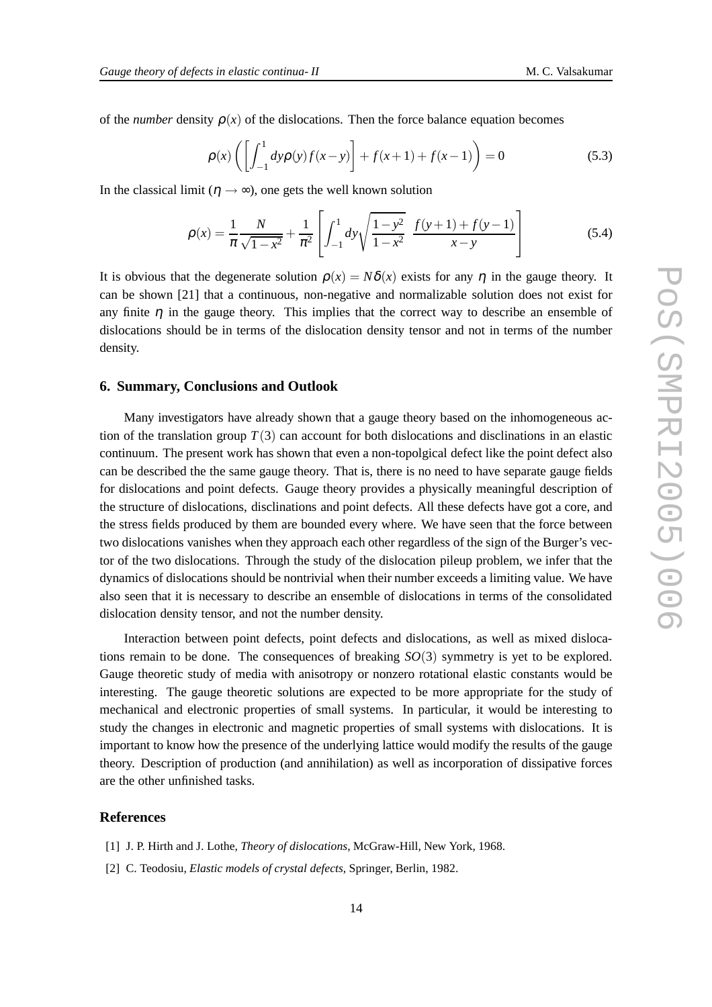of the *number* density  $\rho(x)$  of the dislocations. Then the force balance equation becomes

$$
\rho(x) \left( \left[ \int_{-1}^{1} dy \rho(y) f(x - y) \right] + f(x + 1) + f(x - 1) \right) = 0 \tag{5.3}
$$

In the classical limit ( $\eta \rightarrow \infty$ ), one gets the well known solution

$$
\rho(x) = \frac{1}{\pi} \frac{N}{\sqrt{1 - x^2}} + \frac{1}{\pi^2} \left[ \int_{-1}^{1} dy \sqrt{\frac{1 - y^2}{1 - x^2}} \frac{f(y + 1) + f(y - 1)}{x - y} \right]
$$
(5.4)

It is obvious that the degenerate solution  $\rho(x) = N\delta(x)$  exists for any  $\eta$  in the gauge theory. It can be shown [21] that a continuous, non-negative and normalizable solution does not exist for any finite  $\eta$  in the gauge theory. This implies that the correct way to describe an ensemble of dislocations should be in terms of the dislocation density tensor and not in terms of the number density.

#### **6. Summary, Conclusions and Outlook**

Many investigators have already shown that a gauge theory based on the inhomogeneous action of the translation group  $T(3)$  can account for both dislocations and disclinations in an elastic continuum. The present work has shown that even a non-topolgical defect like the point defect also can be described the the same gauge theory. That is, there is no need to have separate gauge fields for dislocations and point defects. Gauge theory provides a physically meaningful description of the structure of dislocations, disclinations and point defects. All these defects have got a core, and the stress fields produced by them are bounded every where. We have seen that the force between two dislocations vanishes when they approach each other regardless of the sign of the Burger's vector of the two dislocations. Through the study of the dislocation pileup problem, we infer that the dynamics of dislocations should be nontrivial when their number exceeds a limiting value. We have also seen that it is necessary to describe an ensemble of dislocations in terms of the consolidated dislocation density tensor, and not the number density.

Interaction between point defects, point defects and dislocations, as well as mixed dislocations remain to be done. The consequences of breaking *SO*(3) symmetry is yet to be explored. Gauge theoretic study of media with anisotropy or nonzero rotational elastic constants would be interesting. The gauge theoretic solutions are expected to be more appropriate for the study of mechanical and electronic properties of small systems. In particular, it would be interesting to study the changes in electronic and magnetic properties of small systems with dislocations. It is important to know how the presence of the underlying lattice would modify the results of the gauge theory. Description of production (and annihilation) as well as incorporation of dissipative forces are the other unfinished tasks.

#### **References**

- [1] J. P. Hirth and J. Lothe, *Theory of dislocations*, McGraw-Hill, New York, 1968.
- [2] C. Teodosiu, *Elastic models of crystal defects*, Springer, Berlin, 1982.